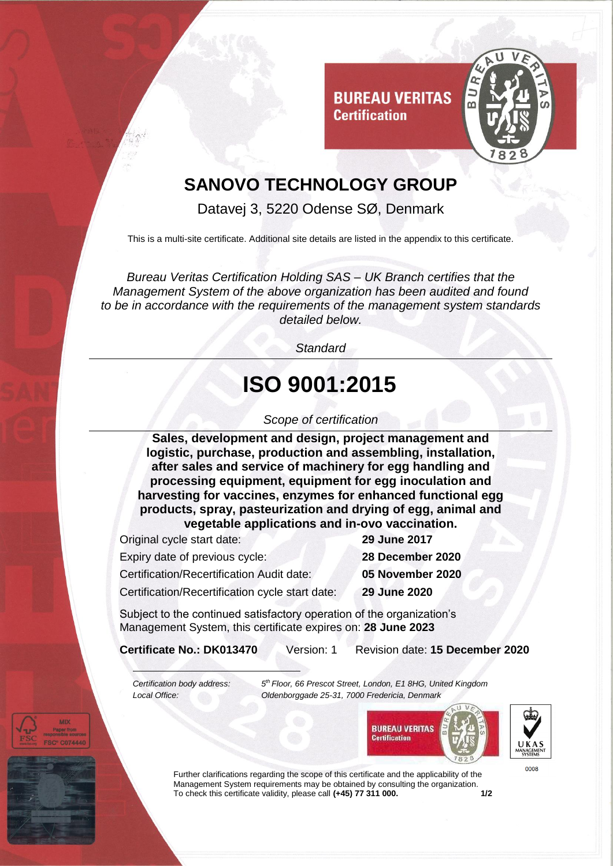

## **SANOVO TECHNOLOGY GROUP**

**Certification** 

Datavej 3, 5220 Odense SØ, Denmark

This is a multi-site certificate. Additional site details are listed in the appendix to this certificate.

*Bureau Veritas Certification Holding SAS – UK Branch certifies that the Management System of the above organization has been audited and found to be in accordance with the requirements of the management system standards detailed below.*

*Standard*

# **ISO 9001:2015**

#### *Scope of certification*

**Sales, development and design, project management and logistic, purchase, production and assembling, installation, after sales and service of machinery for egg handling and processing equipment, equipment for egg inoculation and harvesting for vaccines, enzymes for enhanced functional egg products, spray, pasteurization and drying of egg, animal and vegetable applications and in-ovo vaccination.**

Original cycle start date: **29 June 2017**

Expiry date of previous cycle: **28 December 2020**

Certification/Recertification Audit date: **05 November 2020**

Certification/Recertification cycle start date: **29 June 2020**

Subject to the continued satisfactory operation of the organization's Management System, this certificate expires on: **28 June 2023**

**Certificate No.: DK013470** Version: 1 Revision date: **15 December 2020**

*Certification body address:* 

*th Floor, 66 Prescot Street, London, E1 8HG, United Kingdom Local Office: Oldenborggade 25-31, 7000 Fredericia, Denmark*



Further clarifications regarding the scope of this certificate and the applicability of the Management System requirements may be obtained by consulting the organization.<br>To check this certificate validity, please call (+45) 77 311 000. To check this certificate validity, please call (+45) 77 311 000.

0008